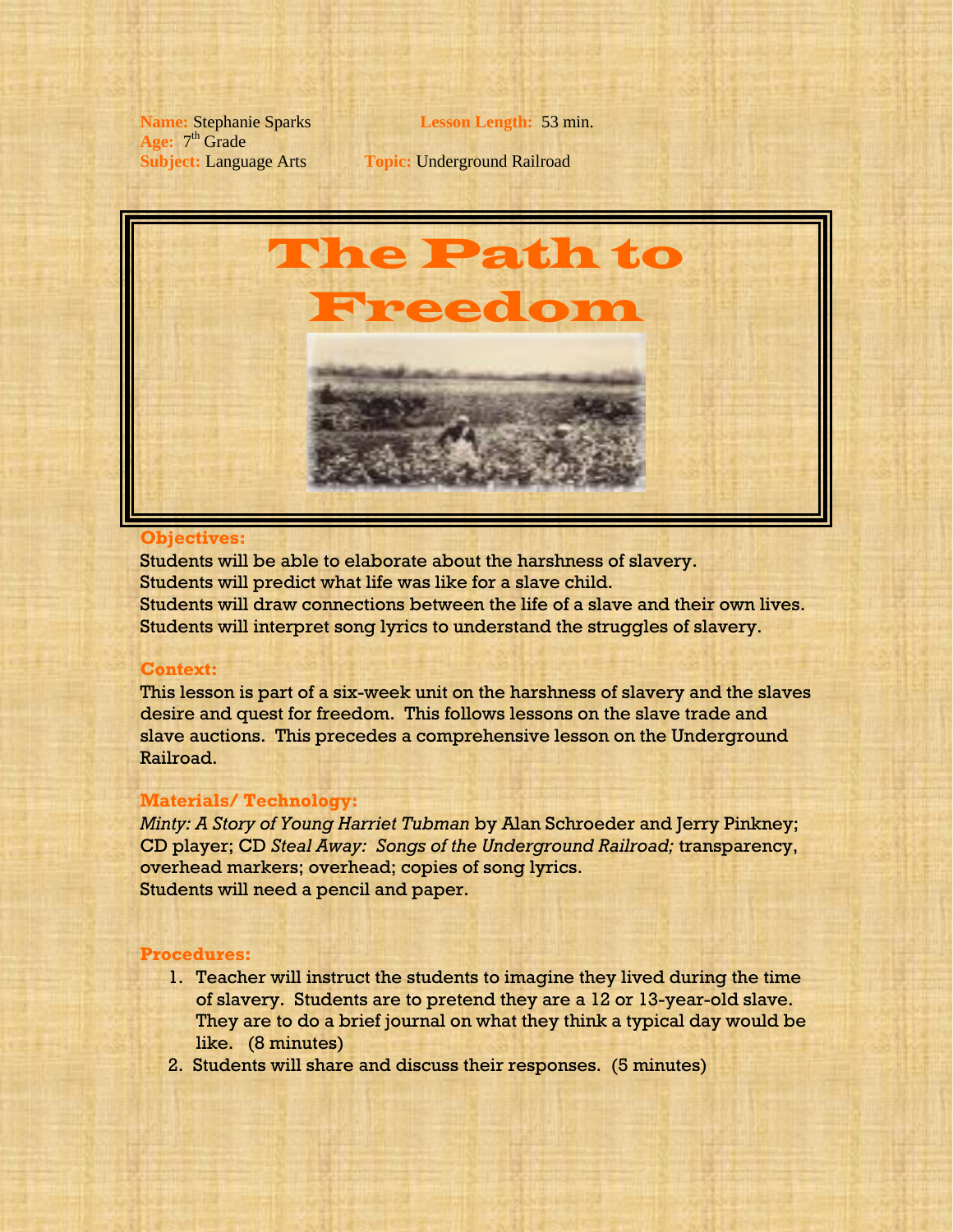**Name:** Stephanie Sparks **Lesson Length:** 53 min. Age:  $7<sup>th</sup>$  Grade

**Subject:** Language Arts **Topic:** Underground Railroad



#### **Objectives:**

Students will be able to elaborate about the harshness of slavery. Students will predict what life was like for a slave child. Students will draw connections between the life of a slave and their own lives. Students will interpret song lyrics to understand the struggles of slavery.

# **Context:**

This lesson is part of a six-week unit on the harshness of slavery and the slaves desire and quest for freedom. This follows lessons on the slave trade and slave auctions. This precedes a comprehensive lesson on the Underground Railroad.

## **Materials/ Technology:**

*Minty: A Story of Young Harriet Tubman* by Alan Schroeder and Jerry Pinkney; CD player; CD *Steal Away: Songs of the Underground Railroad;* transparency, overhead markers; overhead; copies of song lyrics. Students will need a pencil and paper.

### **Procedures:**

- 1. Teacher will instruct the students to imagine they lived during the time of slavery. Students are to pretend they are a 12 or 13-year-old slave. They are to do a brief journal on what they think a typical day would be like. (8 minutes)
- 2. Students will share and discuss their responses. (5 minutes)